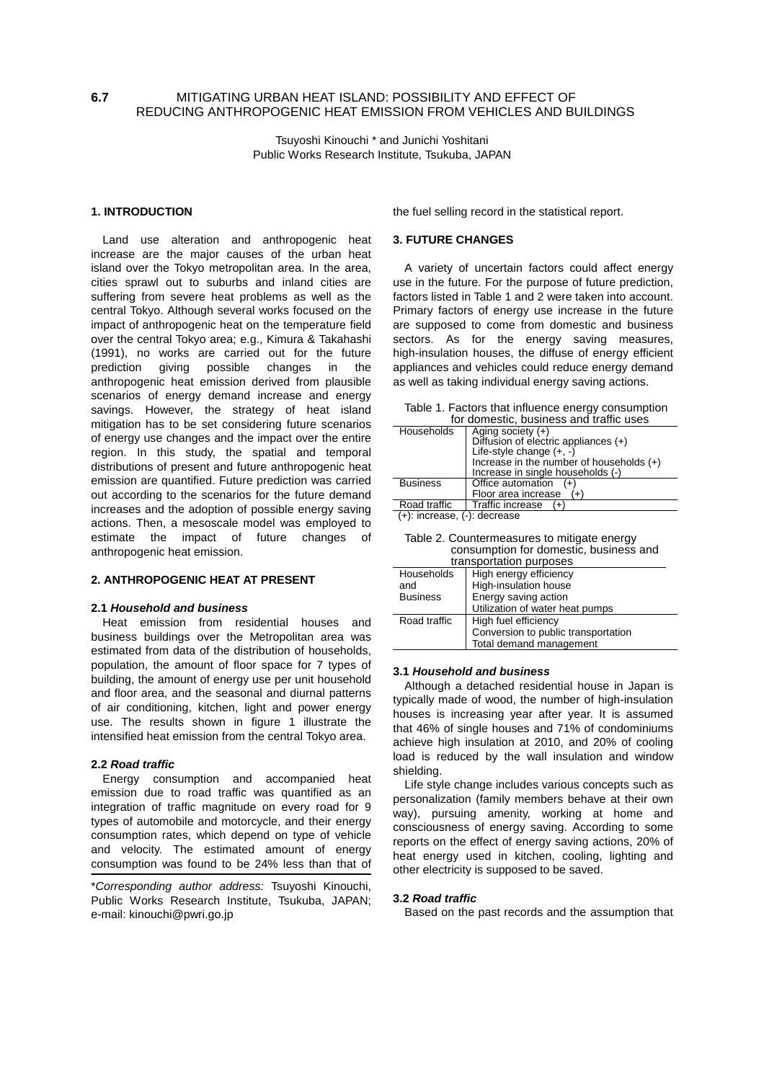# **6.7** MITIGATING URBAN HEAT ISLAND: POSSIBILITY AND EFFECT OF REDUCING ANTHROPOGENIC HEAT EMISSION FROM VEHICLES AND BUILDINGS

Tsuyoshi Kinouchi \* and Junichi Yoshitani Public Works Research Institute, Tsukuba, JAPAN

# **1. INTRODUCTION**

Land use alteration and anthropogenic heat increase are the major causes of the urban heat island over the Tokyo metropolitan area. In the area, cities sprawl out to suburbs and inland cities are suffering from severe heat problems as well as the central Tokyo. Although several works focused on the impact of anthropogenic heat on the temperature field over the central Tokyo area; e.g., Kimura & Takahashi (1991), no works are carried out for the future prediction giving possible changes in the anthropogenic heat emission derived from plausible scenarios of energy demand increase and energy savings. However, the strategy of heat island mitigation has to be set considering future scenarios of energy use changes and the impact over the entire region. In this study, the spatial and temporal distributions of present and future anthropogenic heat emission are quantified. Future prediction was carried out according to the scenarios for the future demand increases and the adoption of possible energy saving actions. Then, a mesoscale model was employed to estimate the impact of future changes of anthropogenic heat emission.

#### **2. ANTHROPOGENIC HEAT AT PRESENT**

## **2.1** *Household and business*

Heat emission from residential houses and business buildings over the Metropolitan area was estimated from data of the distribution of households, population, the amount of floor space for 7 types of building, the amount of energy use per unit household and floor area, and the seasonal and diurnal patterns of air conditioning, kitchen, light and power energy use. The results shown in figure 1 illustrate the intensified heat emission from the central Tokyo area.

# **2.2** *Road traffic*

Energy consumption and accompanied heat emission due to road traffic was quantified as an integration of traffic magnitude on every road for 9 types of automobile and motorcycle, and their energy consumption rates, which depend on type of vehicle and velocity. The estimated amount of energy consumption was found to be 24% less than that of

\**Corresponding author address:* Tsuyoshi Kinouchi, Public Works Research Institute, Tsukuba, JAPAN; e-mail: kinouchi@pwri.go.jp

the fuel selling record in the statistical report.

#### **3. FUTURE CHANGES**

A variety of uncertain factors could affect energy use in the future. For the purpose of future prediction, factors listed in Table 1 and 2 were taken into account. Primary factors of energy use increase in the future are supposed to come from domestic and business sectors. As for the energy saving measures, high-insulation houses, the diffuse of energy efficient appliances and vehicles could reduce energy demand as well as taking individual energy saving actions.

Table 1. Factors that influence energy consumption

| for domestic, business and traffic uses |                                            |
|-----------------------------------------|--------------------------------------------|
| Households                              | Aging society $(+)$                        |
|                                         | Diffusion of electric appliances (+)       |
|                                         | Life-style change $(+, -)$                 |
|                                         | Increase in the number of households $(+)$ |
|                                         | Increase in single households (-)          |
| <b>Business</b>                         | Office automation                          |
|                                         | Floor area increase                        |
| Road traffic                            | Traffic increase<br>(+`                    |
| $(+)$ : increase, $(-)$ : decrease      |                                            |

Table 2. Countermeasures to mitigate energy

| consumption for domestic, business and |                                     |  |
|----------------------------------------|-------------------------------------|--|
| transportation purposes                |                                     |  |
| Households                             | High energy efficiency              |  |
| and                                    | High-insulation house               |  |
| <b>Business</b>                        | Energy saving action                |  |
|                                        | Utilization of water heat pumps     |  |
| Road traffic                           | High fuel efficiency                |  |
|                                        | Conversion to public transportation |  |
|                                        | Total demand management             |  |

# **3.1** *Household and business*

Although a detached residential house in Japan is typically made of wood, the number of high-insulation houses is increasing year after year. It is assumed that 46% of single houses and 71% of condominiums achieve high insulation at 2010, and 20% of cooling load is reduced by the wall insulation and window shielding.

Life style change includes various concepts such as personalization (family members behave at their own way), pursuing amenity, working at home and consciousness of energy saving. According to some reports on the effect of energy saving actions, 20% of heat energy used in kitchen, cooling, lighting and other electricity is supposed to be saved.

## **3.2** *Road traffic*

Based on the past records and the assumption that